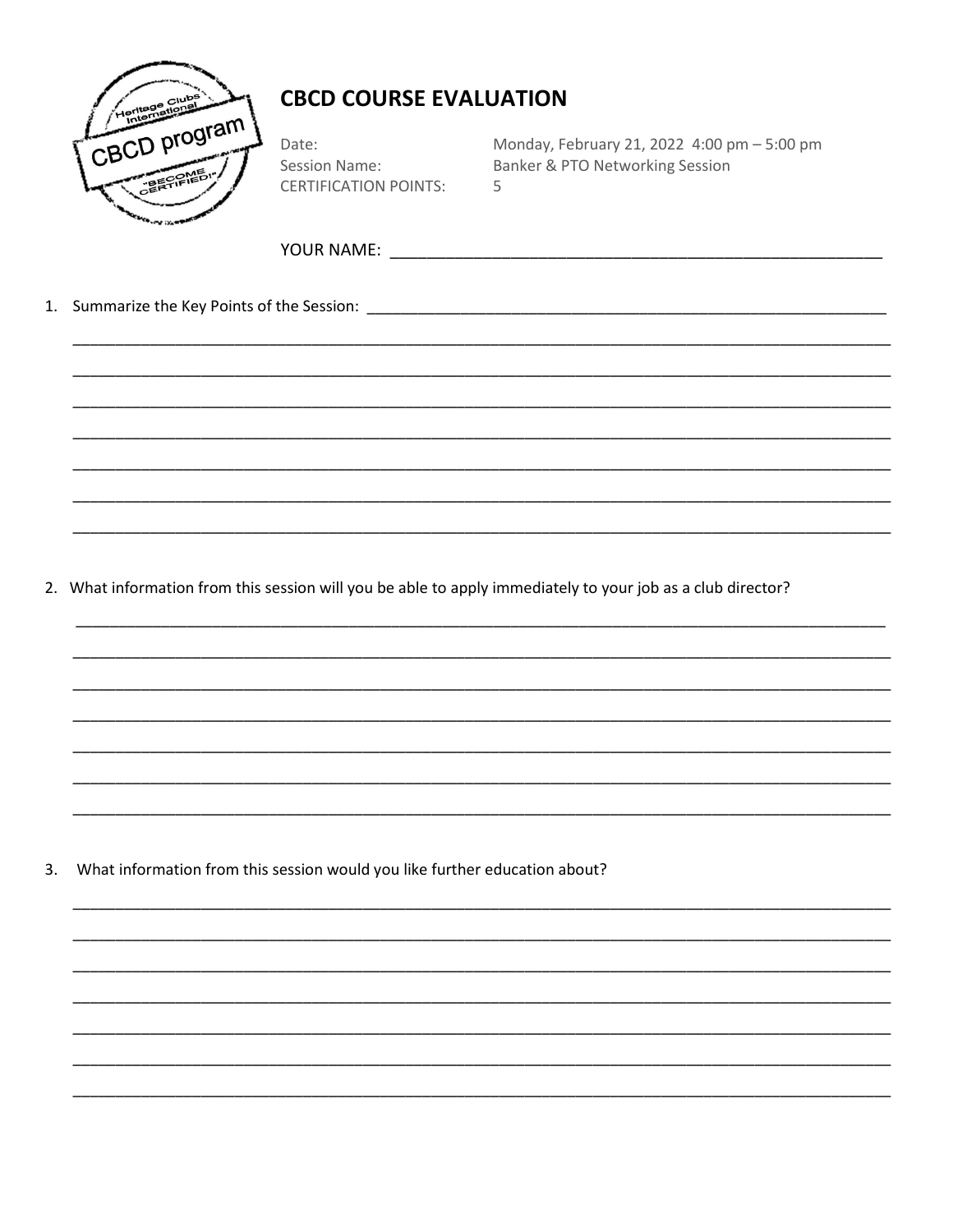

Date: **Session Name: CERTIFICATION POINTS:**  Monday, February 21, 2022 4:00 pm - 5:00 pm Banker & PTO Networking Session 5

2. What information from this session will you be able to apply immediately to your job as a club director?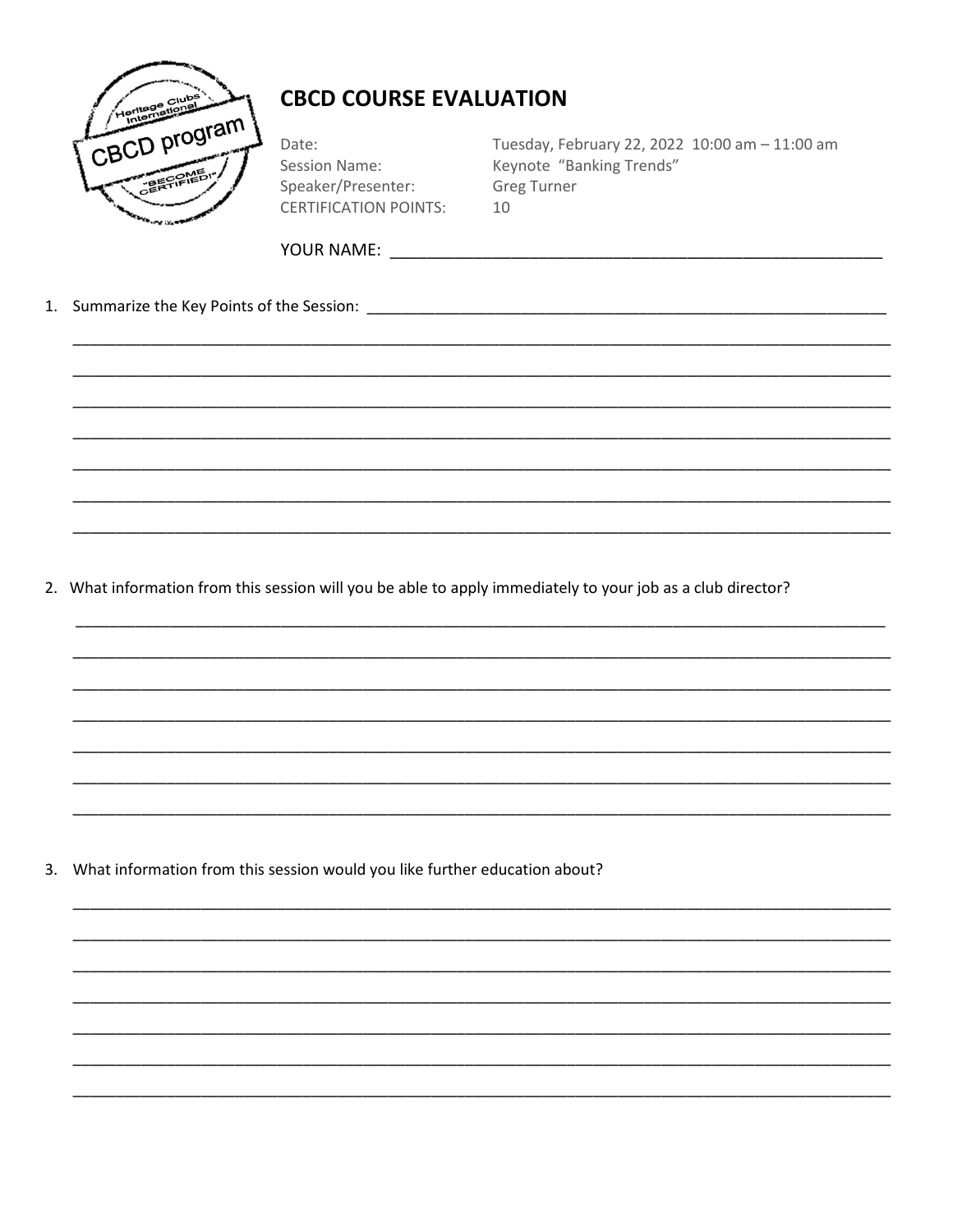

Date: **Session Name:** Speaker/Presenter: **CERTIFICATION POINTS:**  Tuesday, February 22, 2022 10:00 am - 11:00 am Keynote "Banking Trends" **Greg Turner** 10

2. What information from this session will you be able to apply immediately to your job as a club director?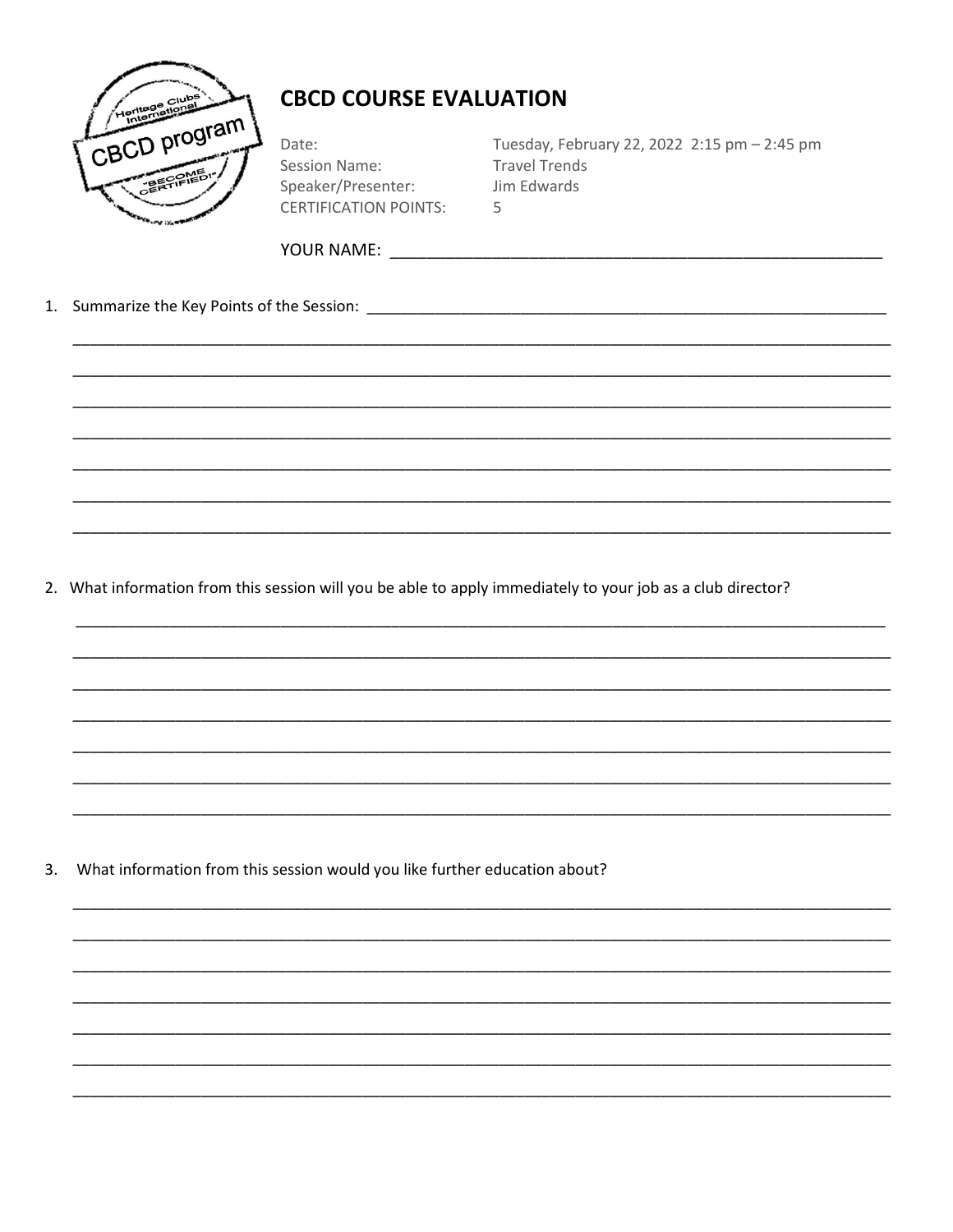

Date: **Session Name:** Speaker/Presenter: **CERTIFICATION POINTS:** 

Tuesday, February 22, 2022 2:15 pm - 2:45 pm **Travel Trends** Jim Edwards  $\overline{5}$ 

2. What information from this session will you be able to apply immediately to your job as a club director?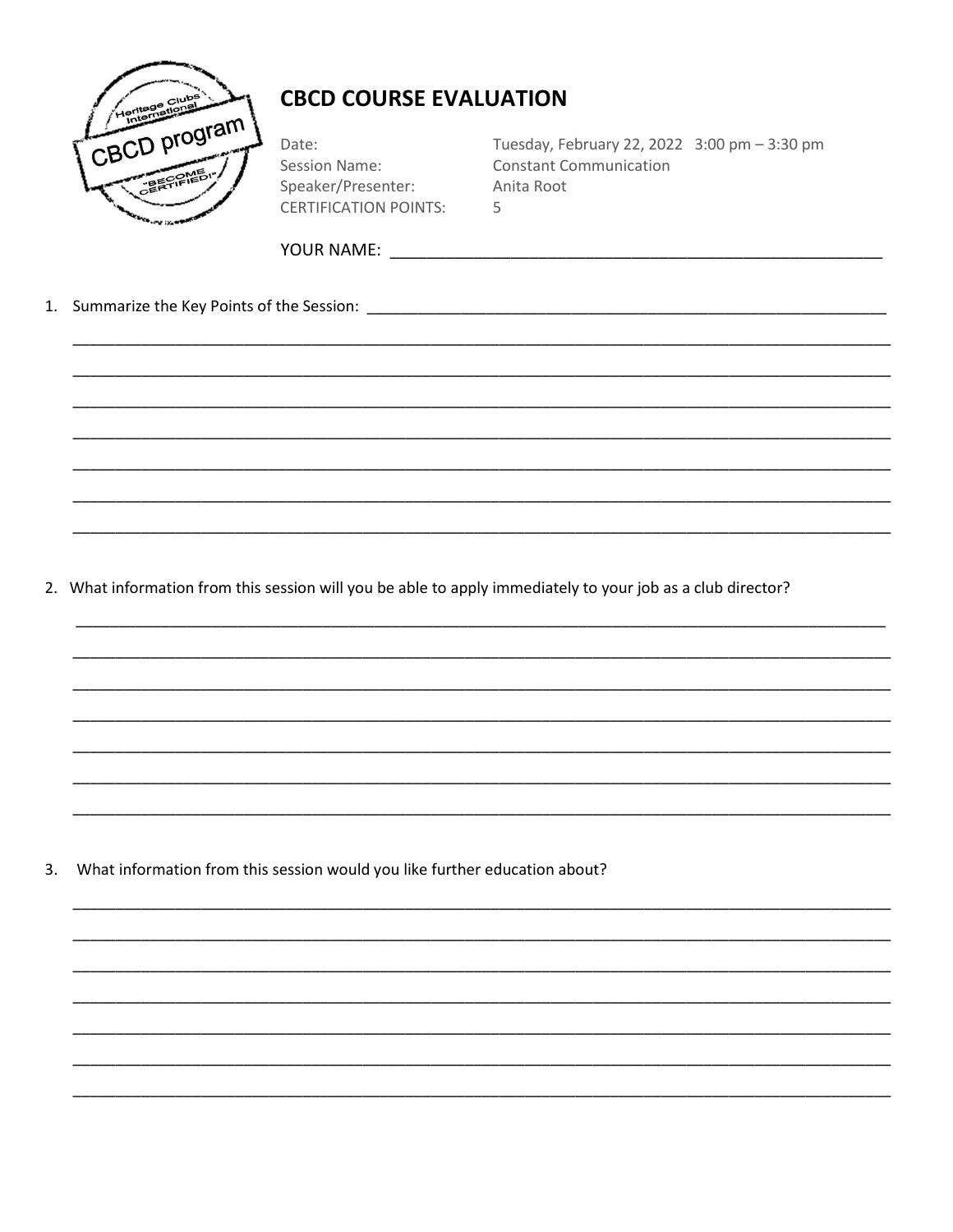

Date: **Session Name:** Speaker/Presenter: **CERTIFICATION POINTS:**  Tuesday, February 22, 2022 3:00 pm - 3:30 pm **Constant Communication** Anita Root  $\overline{5}$ 

2. What information from this session will you be able to apply immediately to your job as a club director?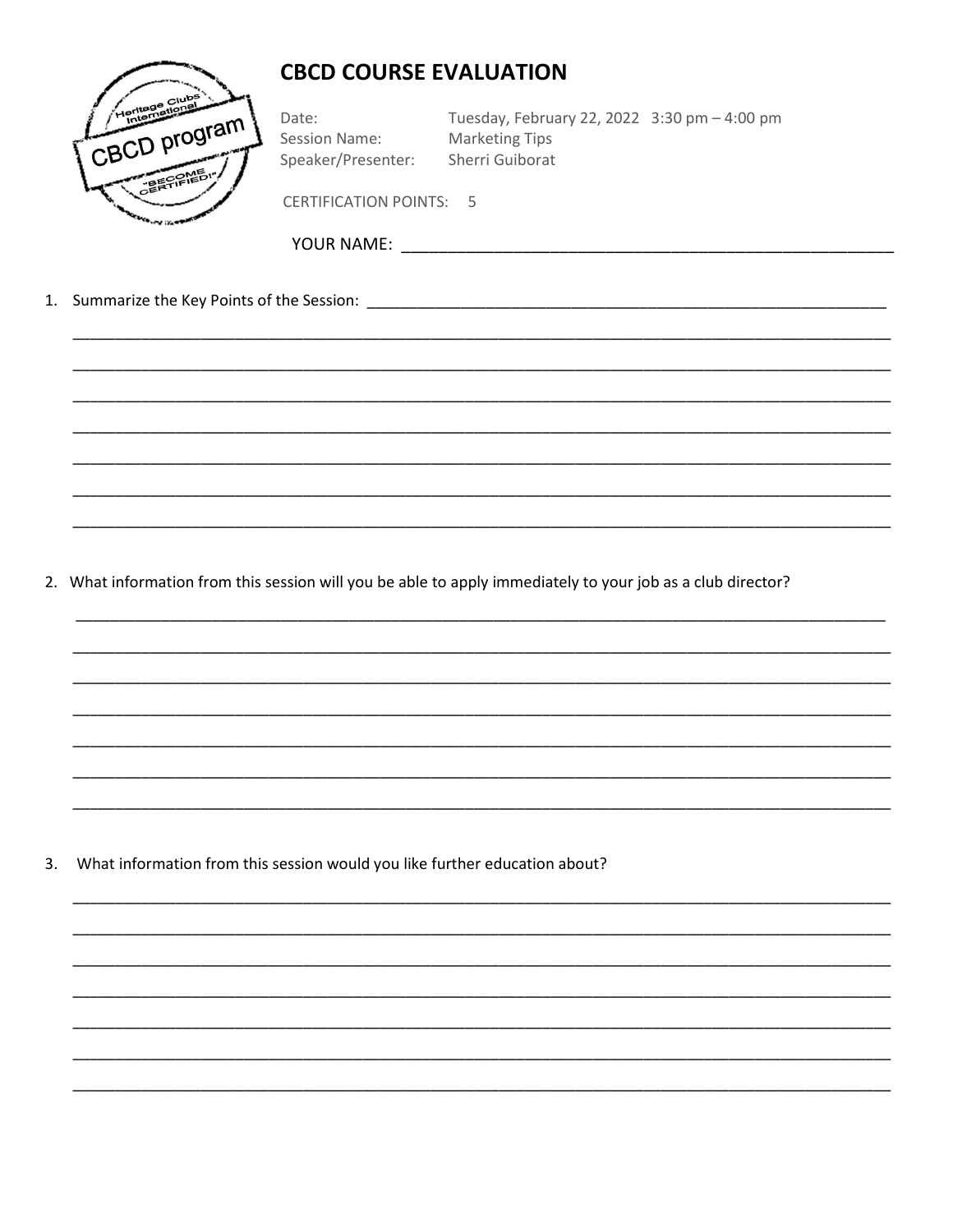

Date: Session Name: Speaker/Presenter:

Tuesday, February 22, 2022 3:30 pm - 4:00 pm **Marketing Tips** Sherri Guiborat

**CERTIFICATION POINTS: 5** 

Summarize the Key Points of the Session: Summarized by a state of the Session:  $1.$ 

2. What information from this session will you be able to apply immediately to your job as a club director?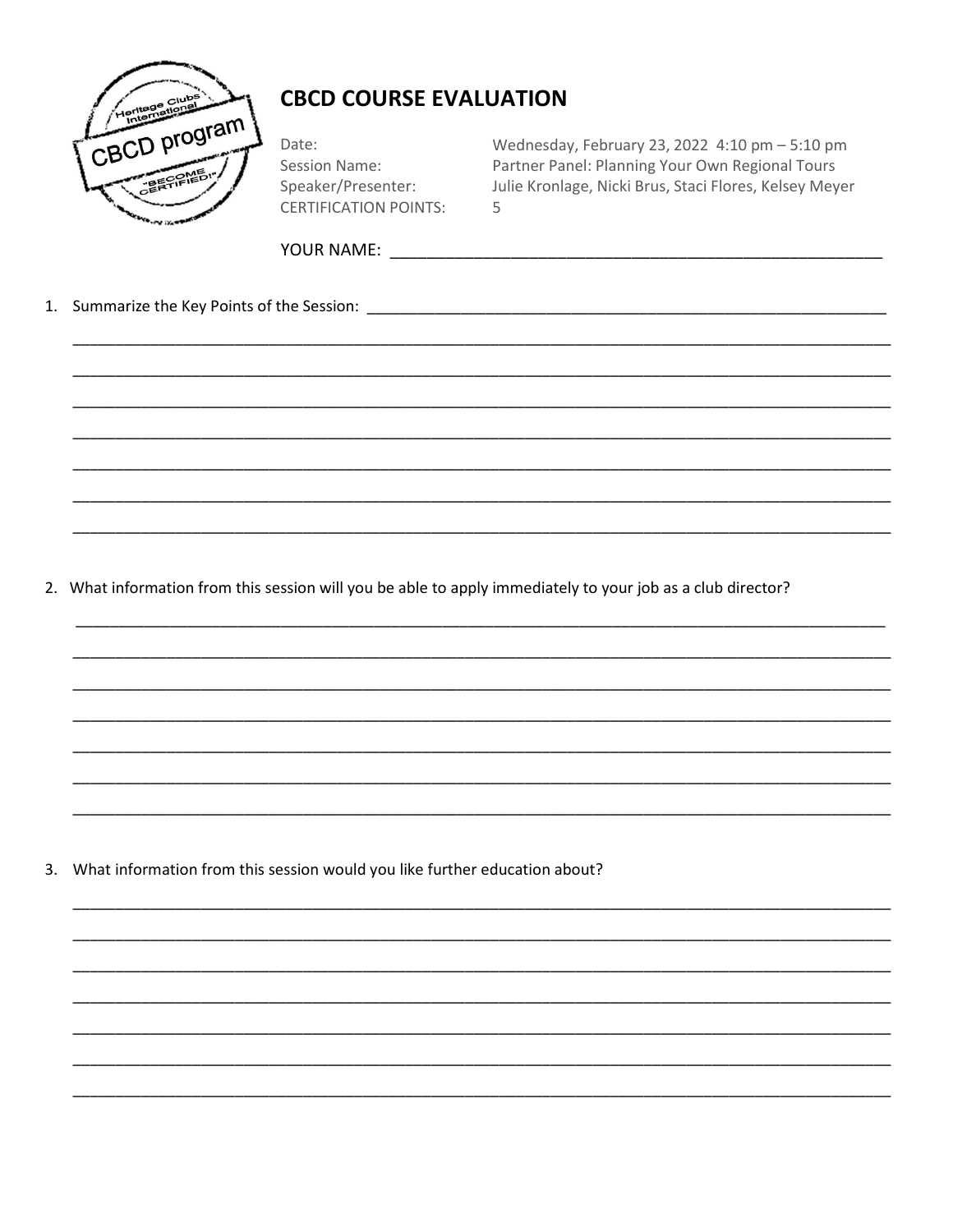

Date: Session Name: Speaker/Presenter: **CERTIFICATION POINTS:**  Wednesday, February 23, 2022 4:10 pm - 5:10 pm Partner Panel: Planning Your Own Regional Tours Julie Kronlage, Nicki Brus, Staci Flores, Kelsey Meyer 5

2. What information from this session will you be able to apply immediately to your job as a club director?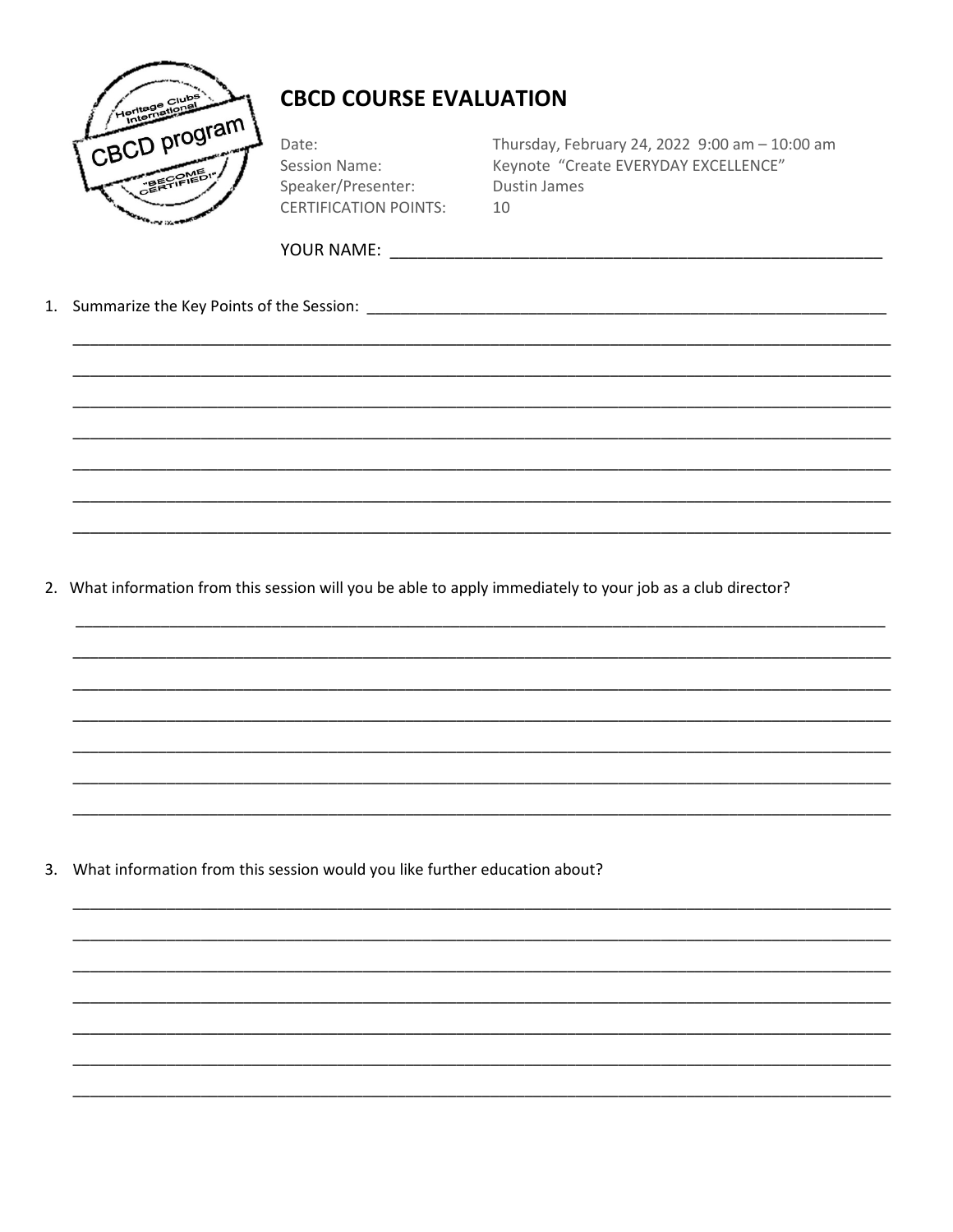

Date: **Session Name:** Speaker/Presenter: **CERTIFICATION POINTS:**  Thursday, February 24, 2022 9:00 am - 10:00 am Keynote "Create EVERYDAY EXCELLENCE" Dustin James 10

2. What information from this session will you be able to apply immediately to your job as a club director?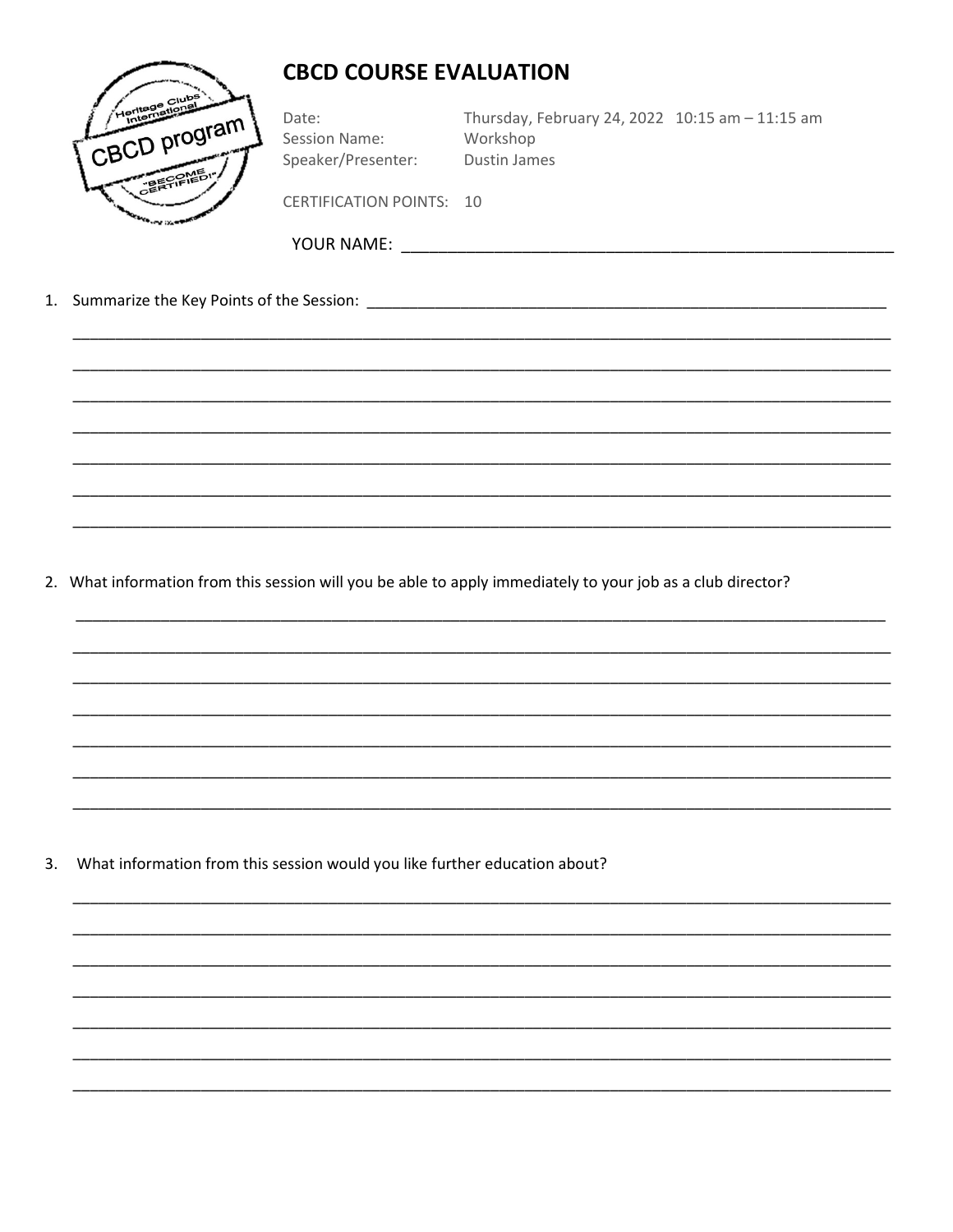

Date: **Session Name:** Speaker/Presenter: Thursday, February 24, 2022 10:15 am - 11:15 am Workshop Dustin James

CERTIFICATION POINTS: 10

- 
- 1. Summarize the Key Points of the Session: The Session of the Session of the Session of the Session of the Session of the Session of the Session of the Session of the Session of the Session of the Session of the Session o

2. What information from this session will you be able to apply immediately to your job as a club director?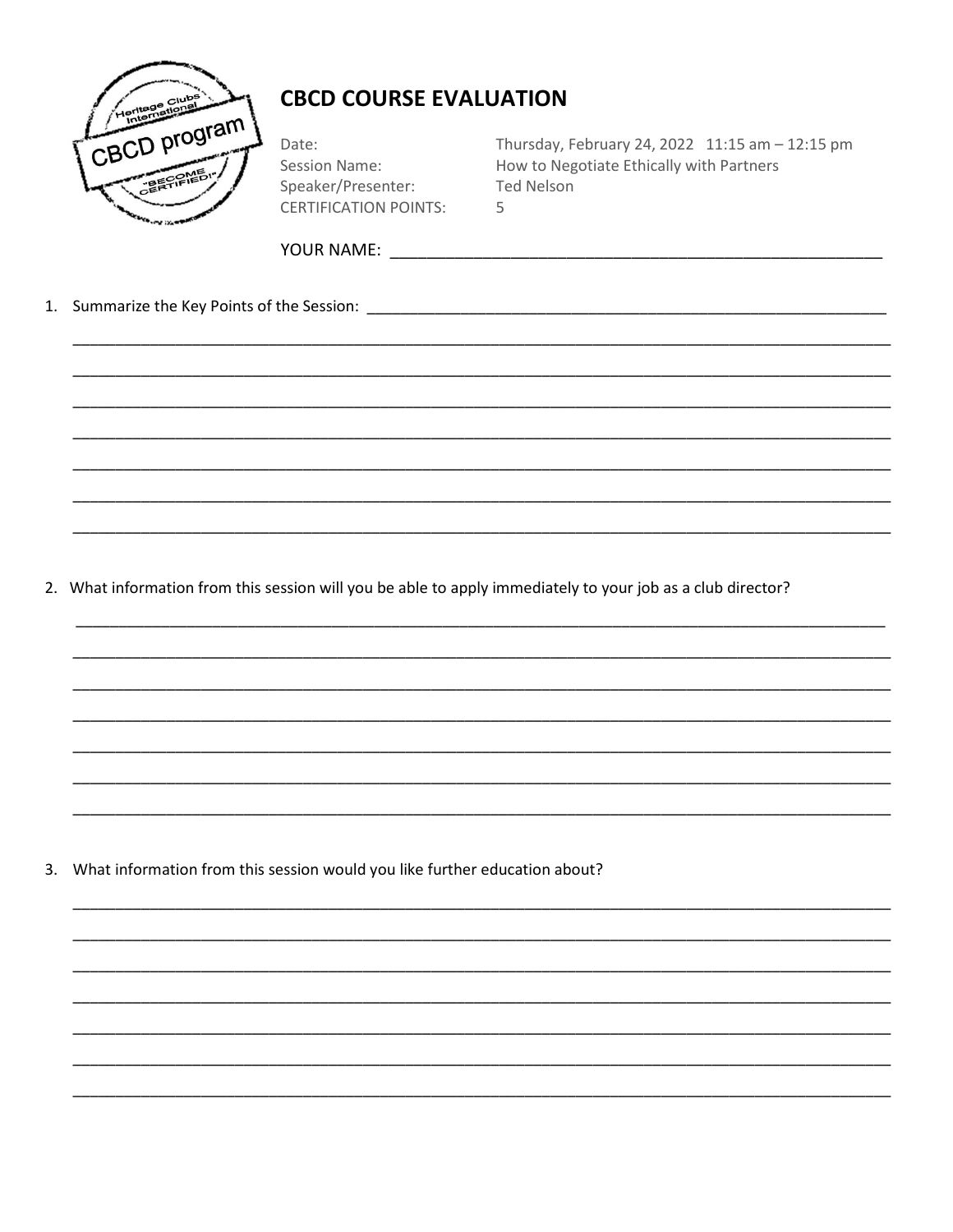

Date: **Session Name:** Speaker/Presenter: **CERTIFICATION POINTS:**  Thursday, February 24, 2022 11:15 am - 12:15 pm How to Negotiate Ethically with Partners **Ted Nelson** 5

2. What information from this session will you be able to apply immediately to your job as a club director?